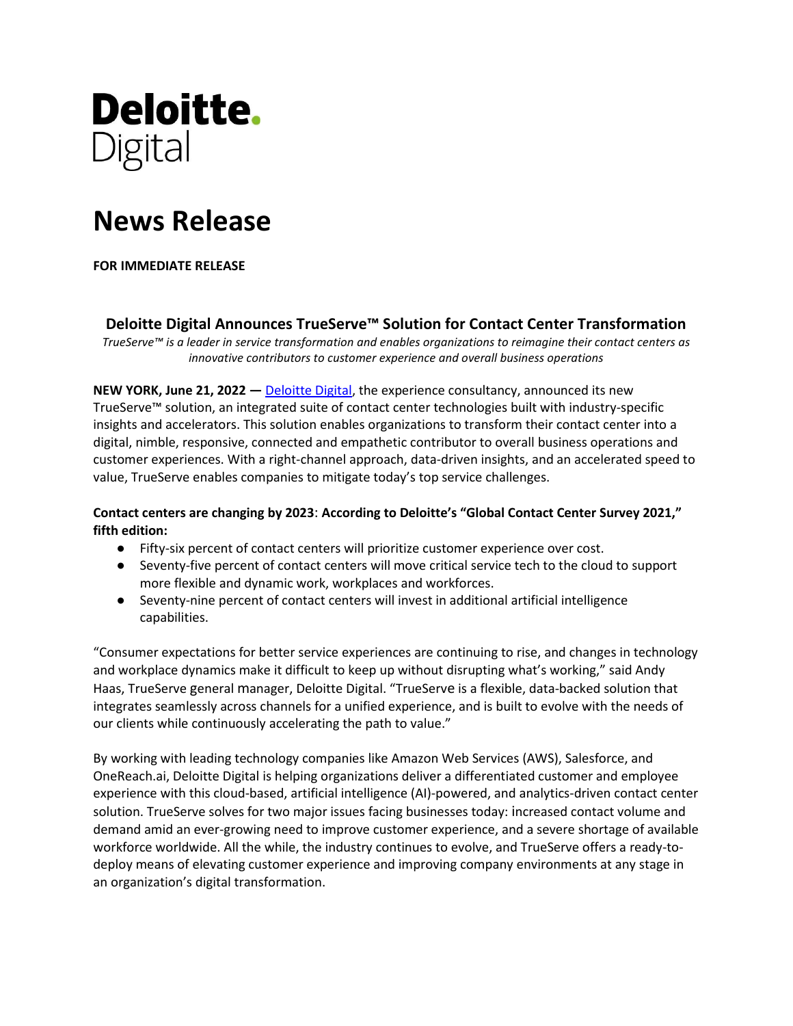

# **News Release**

### **FOR IMMEDIATE RELEASE**

## **Deloitte Digital Announces TrueServe™ Solution for Contact Center Transformation**

*TrueServe™ is a leader in service transformation and enables organizations to reimagine their contact centers as innovative contributors to customer experience and overall business operations*

**NEW YORK, June 21, 2022 —** [Deloitte Digital,](https://www.deloittedigital.com/) the experience consultancy, announced its new TrueServe™ solution, an integrated suite of contact center technologies built with industry-specific insights and accelerators. This solution enables organizations to transform their contact center into a digital, nimble, responsive, connected and empathetic contributor to overall business operations and customer experiences. With a right-channel approach, data-driven insights, and an accelerated speed to value, TrueServe enables companies to mitigate today's top service challenges.

### **Contact centers are changing by 2023**: **According to Deloitte's "Global Contact Center Survey 2021," fifth edition:**

- Fifty-six percent of contact centers will prioritize customer experience over cost.
- Seventy-five percent of contact centers will move critical service tech to the cloud to support more flexible and dynamic work, workplaces and workforces.
- Seventy-nine percent of contact centers will invest in additional artificial intelligence capabilities.

"Consumer expectations for better service experiences are continuing to rise, and changes in technology and workplace dynamics make it difficult to keep up without disrupting what's working," said Andy Haas, TrueServe general manager, Deloitte Digital. "TrueServe is a flexible, data-backed solution that integrates seamlessly across channels for a unified experience, and is built to evolve with the needs of our clients while continuously accelerating the path to value."

By working with leading technology companies like Amazon Web Services (AWS), Salesforce, and OneReach.ai, Deloitte Digital is helping organizations deliver a differentiated customer and employee experience with this cloud-based, artificial intelligence (AI)-powered, and analytics-driven contact center solution. TrueServe solves for two major issues facing businesses today: increased contact volume and demand amid an ever-growing need to improve customer experience, and a severe shortage of available workforce worldwide. All the while, the industry continues to evolve, and TrueServe offers a ready-todeploy means of elevating customer experience and improving company environments at any stage in an organization's digital transformation.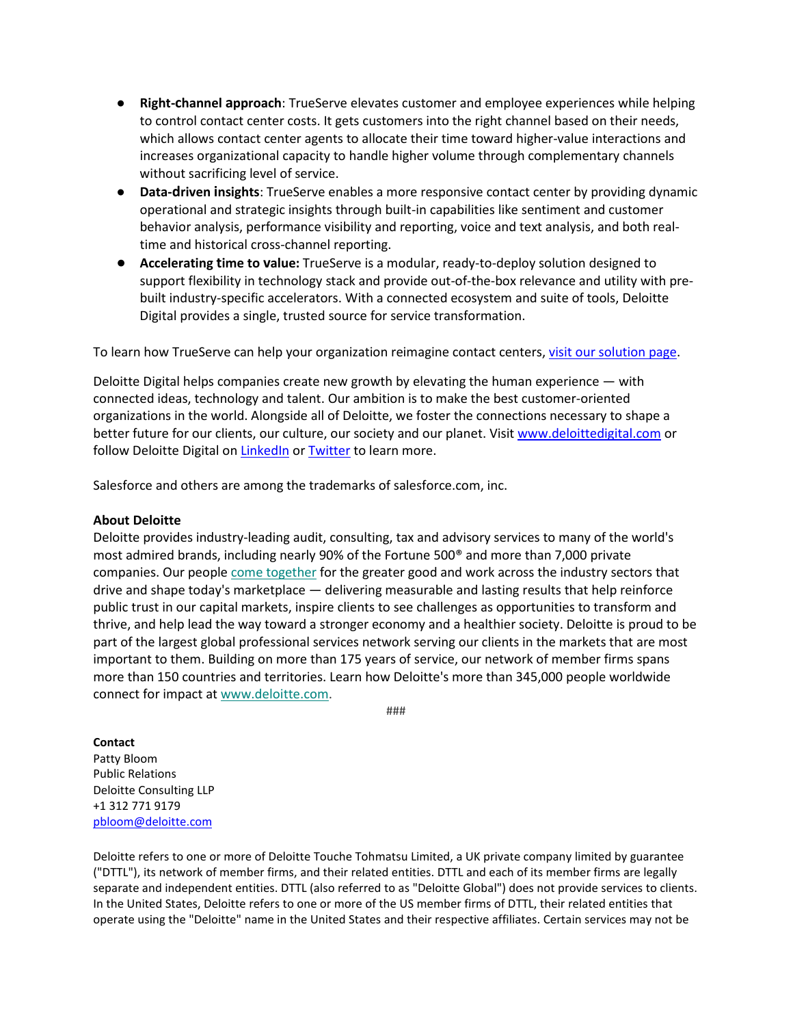- **Right-channel approach**: TrueServe elevates customer and employee experiences while helping to control contact center costs. It gets customers into the right channel based on their needs, which allows contact center agents to allocate their time toward higher-value interactions and increases organizational capacity to handle higher volume through complementary channels without sacrificing level of service.
- **Data-driven insights**: TrueServe enables a more responsive contact center by providing dynamic operational and strategic insights through built-in capabilities like sentiment and customer behavior analysis, performance visibility and reporting, voice and text analysis, and both realtime and historical cross-channel reporting.
- **Accelerating time to value:** TrueServe is a modular, ready-to-deploy solution designed to support flexibility in technology stack and provide out-of-the-box relevance and utility with prebuilt industry-specific accelerators. With a connected ecosystem and suite of tools, Deloitte Digital provides a single, trusted source for service transformation.

To learn how TrueServe can help your organization reimagine contact centers, visit our [solution page.](https://www.deloittedigital.com/us/en/offerings/customer-led-marketing/digital-customer/trueserve.html)

Deloitte Digital helps companies create new growth by elevating the human experience — with connected ideas, technology and talent. Our ambition is to make the best customer-oriented organizations in the world. Alongside all of Deloitte, we foster the connections necessary to shape a better future for our clients, our culture, our society and our planet. Visit [www.deloittedigital.com](http://www.deloittedigital.com/) or follow Deloitte Digital on [LinkedIn](https://www.linkedin.com/company/deloitte-digital) or [Twitter](https://twitter.com/DeloitteDigital) to learn more.

Salesforce and others are among the trademarks of salesforce.com, inc.

#### **About Deloitte**

Deloitte provides industry-leading audit, consulting, tax and advisory services to many of the world's most admired brands, including nearly 90% of the Fortune 500® and more than 7,000 private companies. Our people [come together](https://urldefense.proofpoint.com/v2/url?u=https-3A__c212.net_c_link_-3Ft-3D0-26l-3Den-26o-3D3304217-2D1-26h-3D3766525622-26u-3Dhttps-253A-252F-252Fwww2.deloitte.com-252Fus-252Fen-252Fpages-252Fabout-2Ddeloitte-252Farticles-252Fcome-2Dtogether-2Dcorporate-2Dsocial-2Dimpact.html-253Fid-253Dus-253A2el-253A3pr-253Acometog-253Aawa-253Agreendot-253A11112020-253Aboilerplate-26a-3Dcome-2Btogether&d=DwMFAg&c=euGZstcaTDllvimEN8b7jXrwqOf-v5A_CdpgnVfiiMM&r=cIuyh37QbKw8O-jCXJc7HWyulMhQXBlE52XCcBySTSE&m=gbh06v6mjKUFy7h05igf_PVtZCrNhUHQHuGJTR-l1y8&s=0eXud6N5a1bMm8gjCXllO96F_IjenRo_q8vcE3BmbRk&e=) for the greater good and work across the industry sectors that drive and shape today's marketplace — delivering measurable and lasting results that help reinforce public trust in our capital markets, inspire clients to see challenges as opportunities to transform and thrive, and help lead the way toward a stronger economy and a healthier society. Deloitte is proud to be part of the largest global professional services network serving our clients in the markets that are most important to them. Building on more than 175 years of service, our network of member firms spans more than 150 countries and territories. Learn how Deloitte's more than 345,000 people worldwide connect for impact at [www.deloitte.com.](https://urldefense.proofpoint.com/v2/url?u=https-3A__c212.net_c_link_-3Ft-3D0-26l-3Den-26o-3D3304217-2D1-26h-3D2177308005-26u-3Dhttp-253A-252F-252Fwww.deloitte.com-252F-26a-3Dwww.deloitte.com&d=DwMFAg&c=euGZstcaTDllvimEN8b7jXrwqOf-v5A_CdpgnVfiiMM&r=cIuyh37QbKw8O-jCXJc7HWyulMhQXBlE52XCcBySTSE&m=gbh06v6mjKUFy7h05igf_PVtZCrNhUHQHuGJTR-l1y8&s=hhWOO9w1kTx_qzNuFvEi2r8boLNyK0gBh413ZDJxuEU&e=)

###

#### **Contact**

Patty Bloom Public Relations Deloitte Consulting LLP +1 312 771 9179 [pbloom@deloitte.com](mailto:pbloom@deloitte.com) 

Deloitte refers to one or more of Deloitte Touche Tohmatsu Limited, a UK private company limited by guarantee ("DTTL"), its network of member firms, and their related entities. DTTL and each of its member firms are legally separate and independent entities. DTTL (also referred to as "Deloitte Global") does not provide services to clients. In the United States, Deloitte refers to one or more of the US member firms of DTTL, their related entities that operate using the "Deloitte" name in the United States and their respective affiliates. Certain services may not be